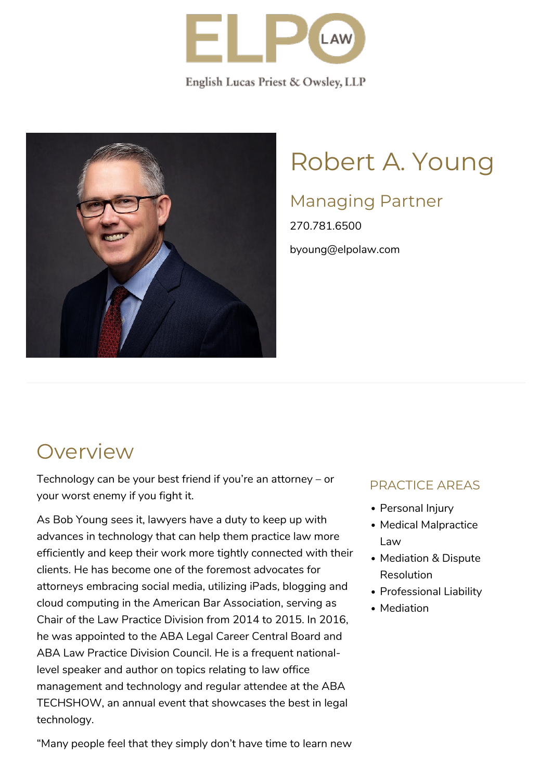

English Lucas Priest & Owsley, LLP



# Robert A. Young

### Managing Partner

270.781.6500 byoung@elpolaw.com

### **Overview**

Technology can be your best friend if you're an attorney – or your worst enemy if you fight it.

As Bob Young sees it, lawyers have a duty to keep up with advances in technology that can help them practice law more efficiently and keep their work more tightly connected with their clients. He has become one of the foremost advocates for attorneys embracing social media, utilizing iPads, blogging and cloud computing in the [American Bar Association,](http://www.americanbar.org/aba.html) serving as Chair of the [Law Practice Division](http://www.americanbar.org/groups/law_practice.html) from 2014 to 2015. In 2016, he was appointed to the [ABA Legal Career Central](http://www.abalcc.org/) Board and ABA Law Practice Division Council. He is a frequent nationallevel speaker and author on topics relating to law office management and technology and regular attendee at the [ABA](http://www.techshow.com/) [TECHSHOW,](http://www.techshow.com/) an annual event that showcases the best in legal technology.

#### PRACTICE AREAS

- Personal Injury
- Medical Malpractice Law
- Mediation & Dispute Resolution
- Professional Liability
- Mediation

"Many people feel that they simply don't have time to learn new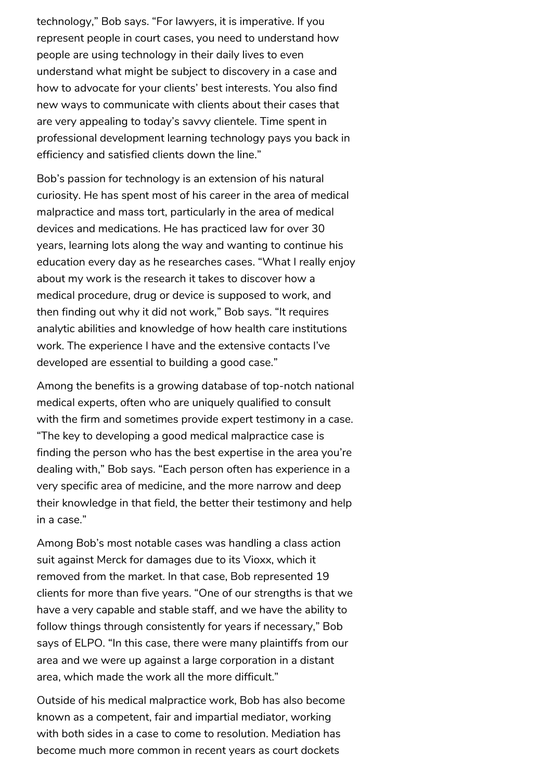technology," Bob says. "For lawyers, it is imperative. If you represent people in court cases, you need to understand how people are using technology in their daily lives to even understand what might be subject to discovery in a case and how to advocate for your clients' best interests. You also find new ways to communicate with clients about their cases that are very appealing to today's savvy clientele. Time spent in professional development learning technology pays you back in efficiency and satisfied clients down the line."

Bob's passion for technology is an extension of his natural curiosity. He has spent most of his career in the area of medical malpractice and mass tort, particularly in the area of medical devices and medications. He has practiced law for over 30 years, learning lots along the way and wanting to continue his education every day as he researches cases. "What I really enjoy about my work is the research it takes to discover how a medical procedure, drug or device is supposed to work, and then finding out why it did not work," Bob says. "It requires analytic abilities and knowledge of how health care institutions work. The experience I have and the extensive contacts I've developed are essential to building a good case."

Among the benefits is a growing database of top-notch national medical experts, often who are uniquely qualified to consult with the firm and sometimes provide expert testimony in a case. "The key to developing a good medical malpractice case is finding the person who has the best expertise in the area you're dealing with," Bob says. "Each person often has experience in a very specific area of medicine, and the more narrow and deep their knowledge in that field, the better their testimony and help in a case."

Among Bob's most notable cases was handling a class action suit against Merck for damages due to its Vioxx, which it removed from the market. In that case, Bob represented 19 clients for more than five years. "One of our strengths is that we have a very capable and stable staff, and we have the ability to follow things through consistently for years if necessary," Bob says of ELPO. "In this case, there were many plaintiffs from our area and we were up against a large corporation in a distant area, which made the work all the more difficult."

Outside of his medical malpractice work, Bob has also become known as a competent, fair and impartial mediator, working with both sides in a case to come to resolution. [Mediation](https://www.elpolaw.com/practice-areas/mediation/) has become much more common in recent years as court dockets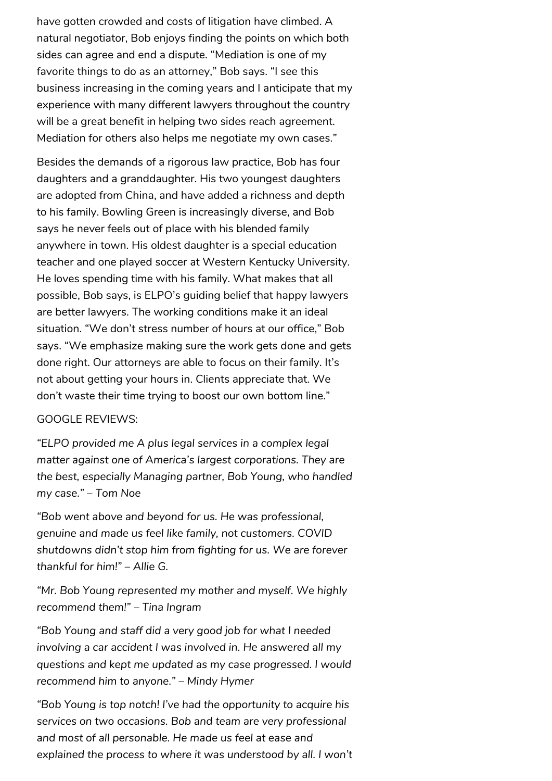have gotten crowded and costs of litigation have climbed. A natural negotiator, Bob enjoys finding the points on which both sides can agree and end a dispute. "Mediation is one of my favorite things to do as an attorney," Bob says. "I see this business increasing in the coming years and I anticipate that my experience with many different lawyers throughout the country will be a great benefit in helping two sides reach agreement. Mediation for others also helps me negotiate my own cases."

Besides the demands of a rigorous law practice, Bob has four daughters and a granddaughter. His two youngest daughters are adopted from China, and have added a richness and depth to his family. Bowling Green is increasingly diverse, and Bob says he never feels out of place with his blended family anywhere in town. His oldest daughter is a special education teacher and one played soccer at [Western Kentucky University.](http://www.wku.edu/) He loves spending time with his family. What makes that all possible, Bob says, is ELPO's guiding belief that happy lawyers are better lawyers. The working conditions make it an ideal situation. "We don't stress number of hours at our office," Bob says. "We emphasize making sure the work gets done and gets done right. Our attorneys are able to focus on their family. It's not about getting your hours in. Clients appreciate that. We don't waste their time trying to boost our own bottom line."

#### GOOGLE REVIEWS:

*"ELPO provided me A plus legal services in a complex legal matter against one of America's largest corporations. They are the best, especially Managing partner, Bob Young, who handled my case." – Tom Noe*

*"Bob went above and beyond for us. He was professional, genuine and made us feel like family, not customers. COVID shutdowns didn't stop him from fighting for us. We are forever thankful for him!" – Allie G.*

*"Mr. Bob Young represented my mother and myself. We highly recommend them!" – Tina Ingram*

*"Bob Young and staff did a very good job for what I needed involving a car accident I was involved in. He answered all my questions and kept me updated as my case progressed. I would recommend him to anyone." – Mindy Hymer*

*"Bob Young is top notch! I've had the opportunity to acquire his services on two occasions. Bob and team are very professional and most of all personable. He made us feel at ease and explained the process to where it was understood by all. I won't*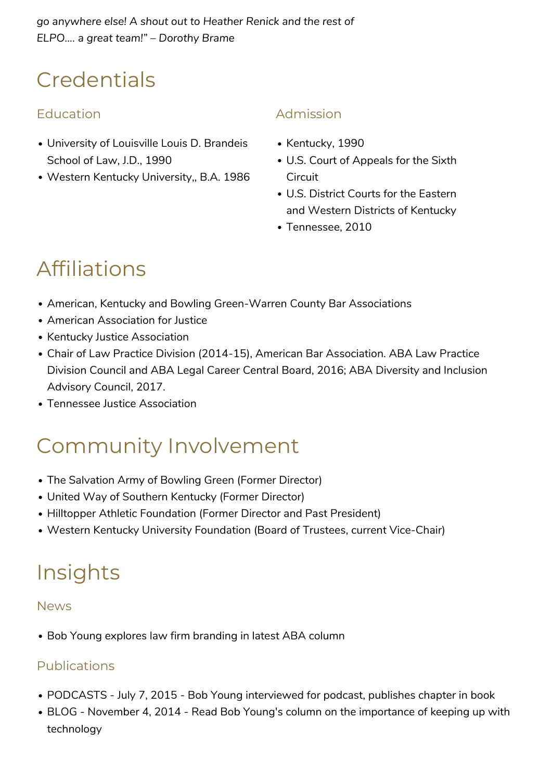### **Credentials**

#### Education

- [University of Louisville Louis D. Brandeis](http://www.law.louisville.edu/) [School of Law,](http://www.law.louisville.edu/) J.D., 1990
- [Western Kentucky University,,](http://www.wku.edu/) B.A. 1986

#### Admission

- [Kentucky](http://www.kybar.org/), 1990
- U.S. Court of Appeals for the Sixth **Circuit**
- U.S. District Courts for the Eastern and Western Districts of Kentucky
- [Tennessee,](http://www.tba.org/) 2010

## Affiliations

- [American](http://www.americanbar.org/), [Kentucky](http://www.kybar.org/) and [Bowling Green-Warren County Bar Associations](http://www.bg-bar.com/)
- [American Association for Justice](http://www.justice.org/cps/rde/xchg/justice/hs.xsl/default.htm)
- [Kentucky Justice Association](http://www.kentuckyjusticeassociation.org/)
- Chair of Law Practice Division (2014-15), [American Bar Association.](http://www.americanbar.org/) ABA Law Practice Division Council and ABA Legal Career Central Board, 2016; ABA Diversity and Inclusion Advisory Council, 2017.
- [Tennessee Justice Association](http://www.tnaj.org/)

### Community Involvement

- The Salvation Army of Bowling Green (Former Director)
- [United Way of Southern Kentucky](http://www.uwsk.org/) (Former Director)
- [Hilltopper Athletic Foundation](http://www.wkusports.com/ViewArticle.dbml?DB_OEM_ID=5400&ATCLID=1568320) (Former Director and Past President)
- [Western Kentucky University Foundation](http://www.wkufoundation.com/) (Board of Trustees, current Vice-Chair)

### Insights

#### News

[Bob Young explores law firm branding in latest ABA column](https://www.elpolaw.com/bob-young-explores-law-firm-branding-in-latest-aba-column/)

#### Publications

- [PODCASTS July 7, 2015 Bob Young interviewed for podcast, publishes chapter in book](https://www.elpolaw.com/bob-young-interviewed-for-podcast-publishes-chapter-in-book/)
- [BLOG November 4, 2014 Read Bob Young's column on the importance of keeping up with](https://www.elpolaw.com/read-bob-youngs-column-on-the-importance-of-keeping-up-with-technology/) [technology](https://www.elpolaw.com/read-bob-youngs-column-on-the-importance-of-keeping-up-with-technology/)